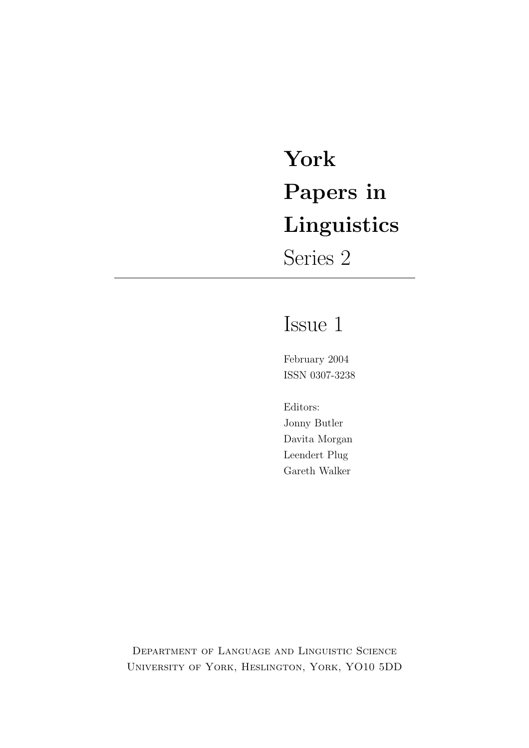# York Papers in Linguistics

Series 2

## Issue 1

February 2004 ISSN 0307-3238

Editors: Jonny Butler Davita Morgan Leendert Plug Gareth Walker

Department of Language and Linguistic Science University of York, Heslington, York, YO10 5DD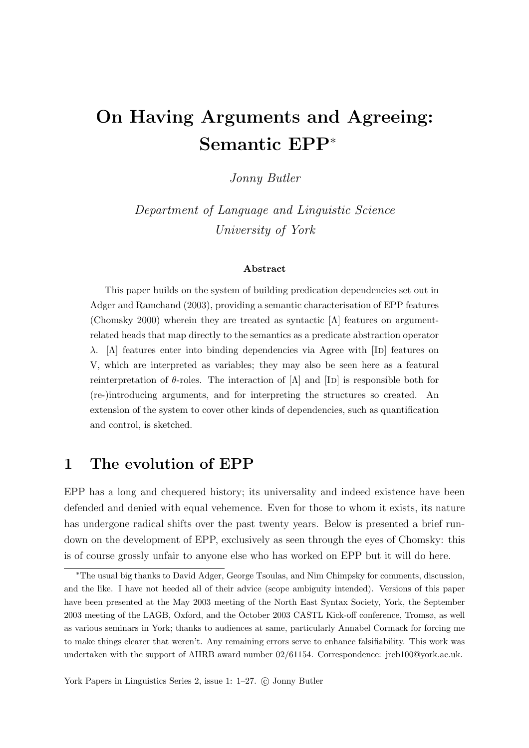## On Having Arguments and Agreeing: Semantic EPP<sup>∗</sup>

Jonny Butler

Department of Language and Linguistic Science University of York

#### Abstract

This paper builds on the system of building predication dependencies set out in Adger and Ramchand (2003), providing a semantic characterisation of EPP features (Chomsky 2000) wherein they are treated as syntactic  $[\Lambda]$  features on argumentrelated heads that map directly to the semantics as a predicate abstraction operator  $\lambda$ . [Λ] features enter into binding dependencies via Agree with [ID] features on V, which are interpreted as variables; they may also be seen here as a featural reinterpretation of  $\theta$ -roles. The interaction of  $[\Lambda]$  and  $[\text{ID}]$  is responsible both for (re-)introducing arguments, and for interpreting the structures so created. An extension of the system to cover other kinds of dependencies, such as quantification and control, is sketched.

## 1 The evolution of EPP

EPP has a long and chequered history; its universality and indeed existence have been defended and denied with equal vehemence. Even for those to whom it exists, its nature has undergone radical shifts over the past twenty years. Below is presented a brief rundown on the development of EPP, exclusively as seen through the eyes of Chomsky: this is of course grossly unfair to anyone else who has worked on EPP but it will do here.

<sup>∗</sup>The usual big thanks to David Adger, George Tsoulas, and Nim Chimpsky for comments, discussion, and the like. I have not heeded all of their advice (scope ambiguity intended). Versions of this paper have been presented at the May 2003 meeting of the North East Syntax Society, York, the September 2003 meeting of the LAGB, Oxford, and the October 2003 CASTL Kick-off conference, Tromsø, as well as various seminars in York; thanks to audiences at same, particularly Annabel Cormack for forcing me to make things clearer that weren't. Any remaining errors serve to enhance falsifiability. This work was undertaken with the support of AHRB award number 02/61154. Correspondence: jrcb100@york.ac.uk.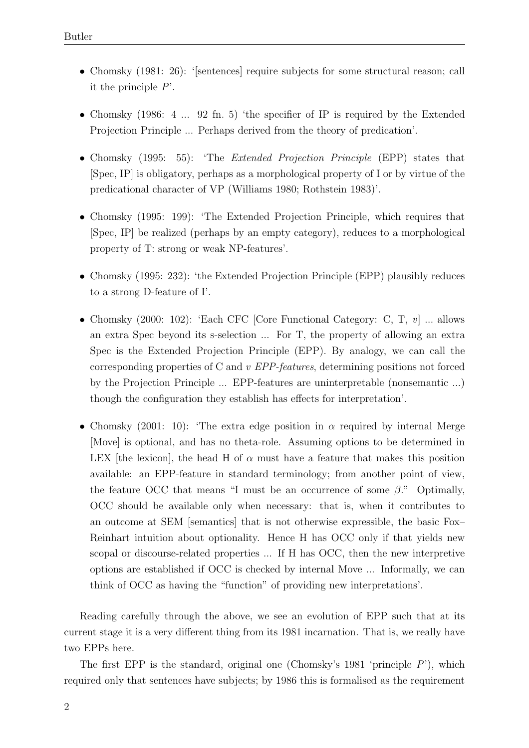- Chomsky (1981: 26): '[sentences] require subjects for some structural reason; call it the principle  $P'$ .
- Chomsky (1986: 4 ... 92 fn. 5) 'the specifier of IP is required by the Extended Projection Principle ... Perhaps derived from the theory of predication'.
- Chomsky (1995: 55): 'The *Extended Projection Principle* (EPP) states that [Spec, IP] is obligatory, perhaps as a morphological property of I or by virtue of the predicational character of VP (Williams 1980; Rothstein 1983)'.
- Chomsky (1995: 199): 'The Extended Projection Principle, which requires that [Spec, IP] be realized (perhaps by an empty category), reduces to a morphological property of T: strong or weak NP-features'.
- Chomsky (1995: 232): 'the Extended Projection Principle (EPP) plausibly reduces to a strong D-feature of I'.
- Chomsky (2000: 102): 'Each CFC [Core Functional Category: C, T,  $v$ ] ... allows an extra Spec beyond its s-selection ... For T, the property of allowing an extra Spec is the Extended Projection Principle (EPP). By analogy, we can call the corresponding properties of C and v EPP-features, determining positions not forced by the Projection Principle ... EPP-features are uninterpretable (nonsemantic ...) though the configuration they establish has effects for interpretation'.
- Chomsky (2001: 10): 'The extra edge position in  $\alpha$  required by internal Merge [Move] is optional, and has no theta-role. Assuming options to be determined in LEX [the lexicon], the head H of  $\alpha$  must have a feature that makes this position available: an EPP-feature in standard terminology; from another point of view, the feature OCC that means "I must be an occurrence of some  $\beta$ ." Optimally, OCC should be available only when necessary: that is, when it contributes to an outcome at SEM [semantics] that is not otherwise expressible, the basic Fox– Reinhart intuition about optionality. Hence H has OCC only if that yields new scopal or discourse-related properties ... If H has OCC, then the new interpretive options are established if OCC is checked by internal Move ... Informally, we can think of OCC as having the "function" of providing new interpretations'.

Reading carefully through the above, we see an evolution of EPP such that at its current stage it is a very different thing from its 1981 incarnation. That is, we really have two EPPs here.

The first EPP is the standard, original one (Chomsky's 1981 'principle  $P$ '), which required only that sentences have subjects; by 1986 this is formalised as the requirement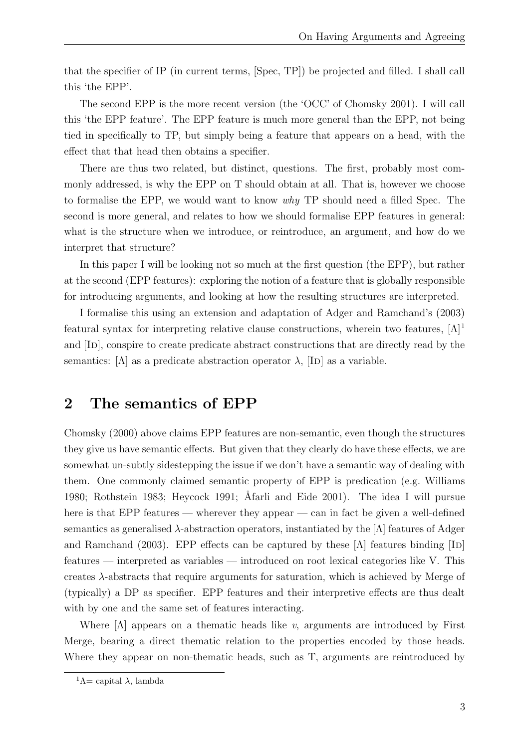that the specifier of IP (in current terms, [Spec, TP]) be projected and filled. I shall call this 'the EPP'.

The second EPP is the more recent version (the 'OCC' of Chomsky 2001). I will call this 'the EPP feature'. The EPP feature is much more general than the EPP, not being tied in specifically to TP, but simply being a feature that appears on a head, with the effect that that head then obtains a specifier.

There are thus two related, but distinct, questions. The first, probably most commonly addressed, is why the EPP on T should obtain at all. That is, however we choose to formalise the EPP, we would want to know why TP should need a filled Spec. The second is more general, and relates to how we should formalise EPP features in general: what is the structure when we introduce, or reintroduce, an argument, and how do we interpret that structure?

In this paper I will be looking not so much at the first question (the EPP), but rather at the second (EPP features): exploring the notion of a feature that is globally responsible for introducing arguments, and looking at how the resulting structures are interpreted.

I formalise this using an extension and adaptation of Adger and Ramchand's (2003) featural syntax for interpreting relative clause constructions, wherein two features,  $[\Lambda]^1$ and [ID], conspire to create predicate abstract constructions that are directly read by the semantics:  $[\Lambda]$  as a predicate abstraction operator  $\lambda$ ,  $[\text{ID}]$  as a variable.

## 2 The semantics of EPP

Chomsky (2000) above claims EPP features are non-semantic, even though the structures they give us have semantic effects. But given that they clearly do have these effects, we are somewhat un-subtly sidestepping the issue if we don't have a semantic way of dealing with them. One commonly claimed semantic property of EPP is predication (e.g. Williams 1980; Rothstein 1983; Heycock 1991; Åfarli and Eide 2001). The idea I will pursue here is that EPP features — wherever they appear — can in fact be given a well-defined semantics as generalised  $\lambda$ -abstraction operators, instantiated by the [ $\Lambda$ ] features of Adger and Ramchand (2003). EPP effects can be captured by these  $[\Lambda]$  features binding  $[\text{ID}]$ features — interpreted as variables — introduced on root lexical categories like V. This creates  $\lambda$ -abstracts that require arguments for saturation, which is achieved by Merge of (typically) a DP as specifier. EPP features and their interpretive effects are thus dealt with by one and the same set of features interacting.

Where  $[\Lambda]$  appears on a thematic heads like v, arguments are introduced by First Merge, bearing a direct thematic relation to the properties encoded by those heads. Where they appear on non-thematic heads, such as T, arguments are reintroduced by

<sup>&</sup>lt;sup>1</sup>Λ= capital  $\lambda$ , lambda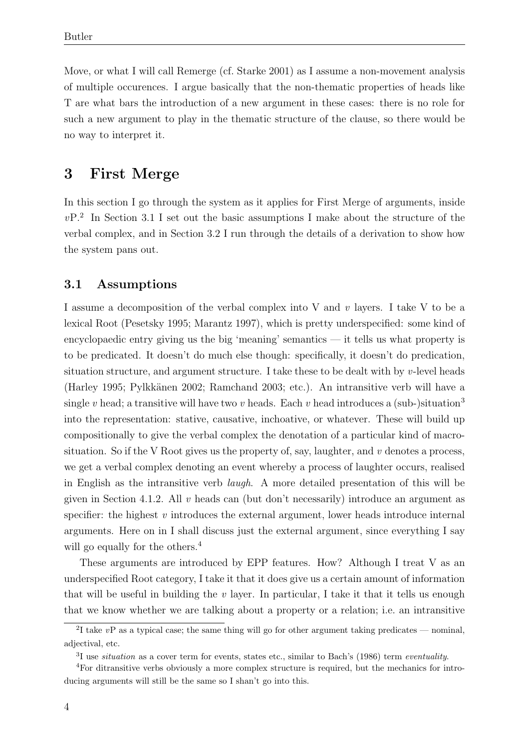Move, or what I will call Remerge (cf. Starke 2001) as I assume a non-movement analysis of multiple occurences. I argue basically that the non-thematic properties of heads like T are what bars the introduction of a new argument in these cases: there is no role for such a new argument to play in the thematic structure of the clause, so there would be no way to interpret it.

## 3 First Merge

In this section I go through the system as it applies for First Merge of arguments, inside  $vP<sup>2</sup>$  In Section 3.1 I set out the basic assumptions I make about the structure of the verbal complex, and in Section 3.2 I run through the details of a derivation to show how the system pans out.

#### 3.1 Assumptions

I assume a decomposition of the verbal complex into V and v layers. I take V to be a lexical Root (Pesetsky 1995; Marantz 1997), which is pretty underspecified: some kind of encyclopaedic entry giving us the big 'meaning' semantics — it tells us what property is to be predicated. It doesn't do much else though: specifically, it doesn't do predication, situation structure, and argument structure. I take these to be dealt with by v-level heads (Harley 1995; Pylkkänen 2002; Ramchand 2003; etc.). An intransitive verb will have a single v head; a transitive will have two v heads. Each v head introduces a (sub-)situation<sup>3</sup> into the representation: stative, causative, inchoative, or whatever. These will build up compositionally to give the verbal complex the denotation of a particular kind of macrosituation. So if the V Root gives us the property of, say, laughter, and  $v$  denotes a process, we get a verbal complex denoting an event whereby a process of laughter occurs, realised in English as the intransitive verb laugh. A more detailed presentation of this will be given in Section 4.1.2. All v heads can (but don't necessarily) introduce an argument as specifier: the highest  $v$  introduces the external argument, lower heads introduce internal arguments. Here on in I shall discuss just the external argument, since everything I say will go equally for the others.<sup>4</sup>

These arguments are introduced by EPP features. How? Although I treat V as an underspecified Root category, I take it that it does give us a certain amount of information that will be useful in building the  $v$  layer. In particular, I take it that it tells us enough that we know whether we are talking about a property or a relation; i.e. an intransitive

<sup>&</sup>lt;sup>2</sup>I take  $vP$  as a typical case; the same thing will go for other argument taking predicates — nominal, adjectival, etc.

 ${}^{3}I$  use *situation* as a cover term for events, states etc., similar to Bach's (1986) term *eventuality*.

<sup>4</sup>For ditransitive verbs obviously a more complex structure is required, but the mechanics for introducing arguments will still be the same so I shan't go into this.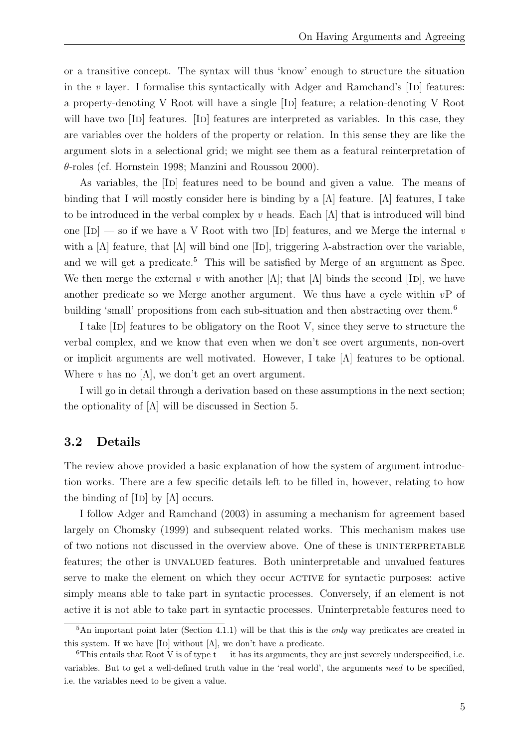or a transitive concept. The syntax will thus 'know' enough to structure the situation in the  $v$  layer. I formalise this syntactically with Adger and Ramchand's  $[ID]$  features: a property-denoting V Root will have a single [ID] feature; a relation-denoting V Root will have two [ID] features. [ID] features are interpreted as variables. In this case, they are variables over the holders of the property or relation. In this sense they are like the argument slots in a selectional grid; we might see them as a featural reinterpretation of θ-roles (cf. Hornstein 1998; Manzini and Roussou 2000).

As variables, the [ID] features need to be bound and given a value. The means of binding that I will mostly consider here is binding by a  $[\Lambda]$  feature. [ $\Lambda$ ] features, I take to be introduced in the verbal complex by v heads. Each  $[\Lambda]$  that is introduced will bind one  $[ID]$  — so if we have a V Root with two  $[ID]$  features, and we Merge the internal v with a  $[\Lambda]$  feature, that  $[\Lambda]$  will bind one  $[\text{ID}]$ , triggering  $\lambda$ -abstraction over the variable, and we will get a predicate.<sup>5</sup> This will be satisfied by Merge of an argument as Spec. We then merge the external v with another  $[\Lambda]$ ; that  $[\Lambda]$  binds the second  $[\text{ID}]$ , we have another predicate so we Merge another argument. We thus have a cycle within  $v\mathbf{P}$  of building 'small' propositions from each sub-situation and then abstracting over them.<sup>6</sup>

I take [Id] features to be obligatory on the Root V, since they serve to structure the verbal complex, and we know that even when we don't see overt arguments, non-overt or implicit arguments are well motivated. However, I take [Λ] features to be optional. Where v has no  $[\Lambda]$ , we don't get an overt argument.

I will go in detail through a derivation based on these assumptions in the next section; the optionality of  $[\Lambda]$  will be discussed in Section 5.

#### 3.2 Details

The review above provided a basic explanation of how the system of argument introduction works. There are a few specific details left to be filled in, however, relating to how the binding of  $|ID|$  by  $|\Lambda|$  occurs.

I follow Adger and Ramchand (2003) in assuming a mechanism for agreement based largely on Chomsky (1999) and subsequent related works. This mechanism makes use of two notions not discussed in the overview above. One of these is uninterpretable features; the other is unvalued features. Both uninterpretable and unvalued features serve to make the element on which they occur active for syntactic purposes: active simply means able to take part in syntactic processes. Conversely, if an element is not active it is not able to take part in syntactic processes. Uninterpretable features need to

 $5$ An important point later (Section 4.1.1) will be that this is the *only* way predicates are created in this system. If we have [ID] without  $[\Lambda]$ , we don't have a predicate.

 $6$ This entails that Root V is of type  $t - i$  thas its arguments, they are just severely underspecified, i.e. variables. But to get a well-defined truth value in the 'real world', the arguments need to be specified, i.e. the variables need to be given a value.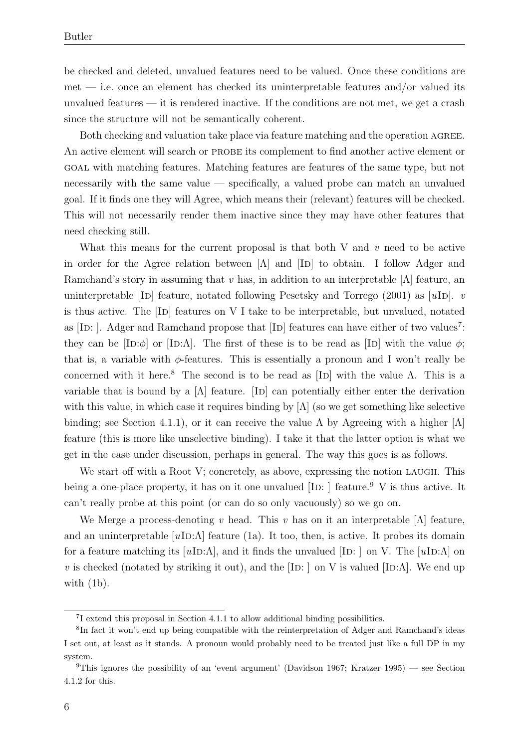be checked and deleted, unvalued features need to be valued. Once these conditions are met — i.e. once an element has checked its uninterpretable features and/or valued its unvalued features — it is rendered inactive. If the conditions are not met, we get a crash since the structure will not be semantically coherent.

Both checking and valuation take place via feature matching and the operation AGREE. An active element will search or PROBE its complement to find another active element or goal with matching features. Matching features are features of the same type, but not necessarily with the same value — specifically, a valued probe can match an unvalued goal. If it finds one they will Agree, which means their (relevant) features will be checked. This will not necessarily render them inactive since they may have other features that need checking still.

What this means for the current proposal is that both V and  $v$  need to be active in order for the Agree relation between  $[\Lambda]$  and  $[\text{ID}]$  to obtain. I follow Adger and Ramchand's story in assuming that v has, in addition to an interpretable  $[\Lambda]$  feature, an uninterpretable [ID] feature, notated following Pesetsky and Torrego (2001) as  $[uD]$ . v is thus active. The [ID] features on V I take to be interpretable, but unvalued, notated as [ID: ]. Adger and Ramchand propose that [ID] features can have either of two values<sup>7</sup>: they can be  $[ID:\phi]$  or  $[ID:\Lambda]$ . The first of these is to be read as  $[ID]$  with the value  $\phi$ ; that is, a variable with  $\phi$ -features. This is essentially a pronoun and I won't really be concerned with it here.<sup>8</sup> The second is to be read as [ID] with the value  $\Lambda$ . This is a variable that is bound by a  $[\Lambda]$  feature.  $[\text{ID}]$  can potentially either enter the derivation with this value, in which case it requires binding by  $[\Lambda]$  (so we get something like selective binding; see Section 4.1.1), or it can receive the value  $\Lambda$  by Agreeing with a higher  $[\Lambda]$ feature (this is more like unselective binding). I take it that the latter option is what we get in the case under discussion, perhaps in general. The way this goes is as follows.

We start off with a Root V; concretely, as above, expressing the notion LAUGH. This being a one-place property, it has on it one unvalued  $[ID: ]$  feature.<sup>9</sup> V is thus active. It can't really probe at this point (or can do so only vacuously) so we go on.

We Merge a process-denoting v head. This v has on it an interpretable [ $\Lambda$ ] feature, and an uninterpretable  $[u**ID**: $\Lambda$ ] feature (1a). It too, then, is active. It probes its domain$ for a feature matching its  $[uD:\Lambda]$ , and it finds the unvalued [ID: ] on V. The [uID: $\Lambda$ ] on v is checked (notated by striking it out), and the [ID: ] on V is valued [ID: $\Lambda$ ]. We end up with (1b).

<sup>7</sup> I extend this proposal in Section 4.1.1 to allow additional binding possibilities.

<sup>&</sup>lt;sup>8</sup>In fact it won't end up being compatible with the reinterpretation of Adger and Ramchand's ideas I set out, at least as it stands. A pronoun would probably need to be treated just like a full DP in my system.

<sup>&</sup>lt;sup>9</sup>This ignores the possibility of an 'event argument' (Davidson 1967; Kratzer 1995) — see Section 4.1.2 for this.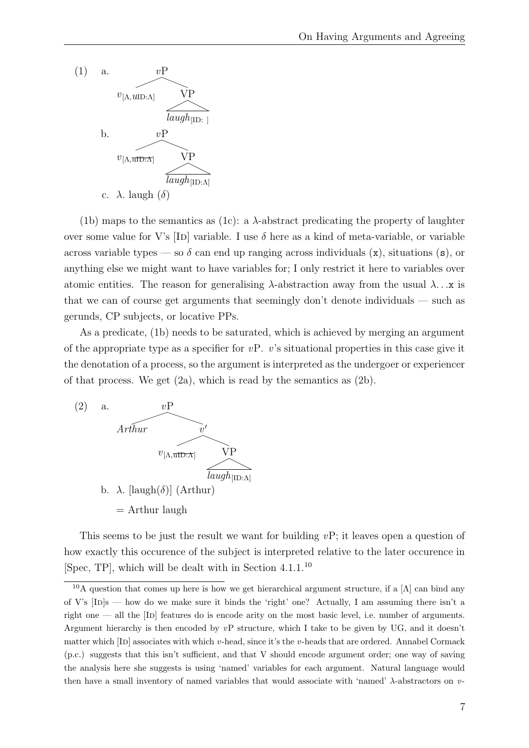

(1b) maps to the semantics as (1c): a  $\lambda$ -abstract predicating the property of laughter over some value for V's [ID] variable. I use  $\delta$  here as a kind of meta-variable, or variable across variable types — so  $\delta$  can end up ranging across individuals  $(x)$ , situations  $(s)$ , or anything else we might want to have variables for; I only restrict it here to variables over atomic entities. The reason for generalising  $\lambda$ -abstraction away from the usual  $\lambda \dots x$  is that we can of course get arguments that seemingly don't denote individuals — such as gerunds, CP subjects, or locative PPs.

As a predicate, (1b) needs to be saturated, which is achieved by merging an argument of the appropriate type as a specifier for  $vP$ . v's situational properties in this case give it the denotation of a process, so the argument is interpreted as the undergoer or experiencer of that process. We get  $(2a)$ , which is read by the semantics as  $(2b)$ .



This seems to be just the result we want for building  $v\mathbf{P}$ ; it leaves open a question of how exactly this occurence of the subject is interpreted relative to the later occurence in [Spec, TP], which will be dealt with in Section  $4.1.1^{10}$ 

<sup>&</sup>lt;sup>10</sup>A question that comes up here is how we get hierarchical argument structure, if a  $[\Lambda]$  can bind any of V's  $[ID]s$  — how do we make sure it binds the 'right' one? Actually, I am assuming there isn't a right one — all the  $[ID]$  features do is encode arity on the most basic level, i.e. number of arguments. Argument hierarchy is then encoded by  $v\mathbf{P}$  structure, which I take to be given by UG, and it doesn't matter which  $[ID]$  associates with which v-head, since it's the v-heads that are ordered. Annabel Cormack (p.c.) suggests that this isn't sufficient, and that V should encode argument order; one way of saving the analysis here she suggests is using 'named' variables for each argument. Natural language would then have a small inventory of named variables that would associate with 'named' λ-abstractors on v-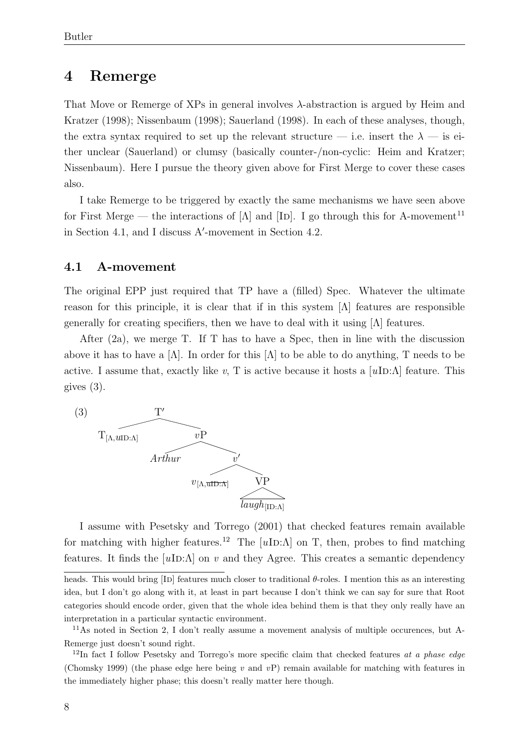## 4 Remerge

That Move or Remerge of XPs in general involves λ-abstraction is argued by Heim and Kratzer (1998); Nissenbaum (1998); Sauerland (1998). In each of these analyses, though, the extra syntax required to set up the relevant structure — i.e. insert the  $\lambda$  — is either unclear (Sauerland) or clumsy (basically counter-/non-cyclic: Heim and Kratzer; Nissenbaum). Here I pursue the theory given above for First Merge to cover these cases also.

I take Remerge to be triggered by exactly the same mechanisms we have seen above for First Merge — the interactions of  $[\Lambda]$  and  $[\text{ID}]$ . I go through this for A-movement<sup>11</sup> in Section 4.1, and I discuss  $A'$ -movement in Section 4.2.

#### 4.1 A-movement

The original EPP just required that TP have a (filled) Spec. Whatever the ultimate reason for this principle, it is clear that if in this system  $[\Lambda]$  features are responsible generally for creating specifiers, then we have to deal with it using  $|\Lambda|$  features.

After (2a), we merge T. If T has to have a Spec, then in line with the discussion above it has to have a  $[\Lambda]$ . In order for this  $[\Lambda]$  to be able to do anything, T needs to be active. I assume that, exactly like v, T is active because it hosts a  $|u\text{ID:}\Lambda|$  feature. This gives (3).



I assume with Pesetsky and Torrego (2001) that checked features remain available for matching with higher features.<sup>12</sup> The  $[uID:\Lambda]$  on T, then, probes to find matching features. It finds the  $[uD:\Lambda]$  on v and they Agree. This creates a semantic dependency

heads. This would bring  $[D]$  features much closer to traditional  $\theta$ -roles. I mention this as an interesting idea, but I don't go along with it, at least in part because I don't think we can say for sure that Root categories should encode order, given that the whole idea behind them is that they only really have an interpretation in a particular syntactic environment.

<sup>11</sup>As noted in Section 2, I don't really assume a movement analysis of multiple occurences, but A-Remerge just doesn't sound right.

<sup>&</sup>lt;sup>12</sup>In fact I follow Pesetsky and Torrego's more specific claim that checked features at a phase edge (Chomsky 1999) (the phase edge here being v and  $vP$ ) remain available for matching with features in the immediately higher phase; this doesn't really matter here though.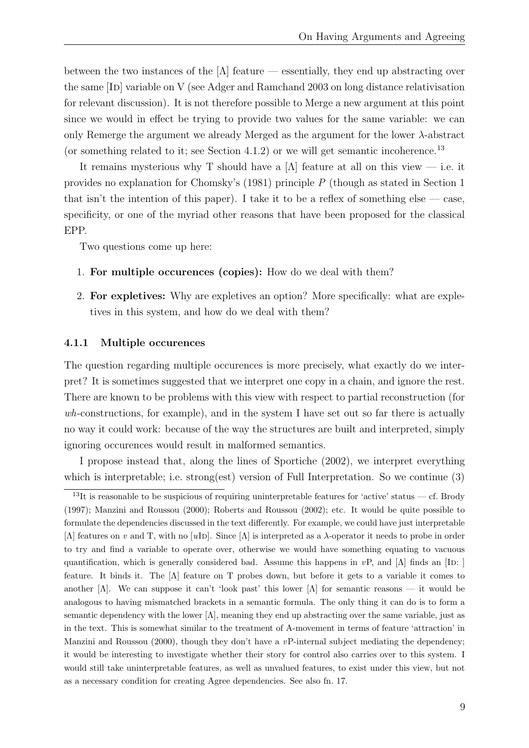between the two instances of the  $[\Lambda]$  feature — essentially, they end up abstracting over the same [Id] variable on V (see Adger and Ramchand 2003 on long distance relativisation for relevant discussion). It is not therefore possible to Merge a new argument at this point since we would in effect be trying to provide two values for the same variable: we can only Remerge the argument we already Merged as the argument for the lower  $\lambda$ -abstract (or something related to it; see Section 4.1.2) or we will get semantic incoherence.<sup>13</sup>

It remains mysterious why T should have a [Λ] feature at all on this view — i.e. it provides no explanation for Chomsky's (1981) principle P (though as stated in Section 1 that isn't the intention of this paper). I take it to be a reflex of something else  $\sim$  case, specificity, or one of the myriad other reasons that have been proposed for the classical EPP.

Two questions come up here:

- 1. For multiple occurences (copies): How do we deal with them?
- 2. For expletives: Why are expletives an option? More specifically: what are expletives in this system, and how do we deal with them?

#### 4.1.1 Multiple occurences

The question regarding multiple occurences is more precisely, what exactly do we interpret? It is sometimes suggested that we interpret one copy in a chain, and ignore the rest. There are known to be problems with this view with respect to partial reconstruction (for  $wh$ -constructions, for example), and in the system I have set out so far there is actually no way it could work: because of the way the structures are built and interpreted, simply ignoring occurences would result in malformed semantics.

I propose instead that, along the lines of Sportiche (2002), we interpret everything which is interpretable; i.e. strong(est) version of Full Interpretation. So we continue (3)

<sup>&</sup>lt;sup>13</sup>It is reasonable to be suspicious of requiring uninterpretable features for 'active' status — cf. Brody (1997); Manzini and Roussou (2000); Roberts and Roussou (2002); etc. It would be quite possible to formulate the dependencies discussed in the text differently. For example, we could have just interpretable [Λ] features on v and T, with no [uID]. Since [Λ] is interpreted as a  $\lambda$ -operator it needs to probe in order to try and find a variable to operate over, otherwise we would have something equating to vacuous quantification, which is generally considered bad. Assume this happens in  $vP$ , and [Λ] finds an [ID: ] feature. It binds it. The [Λ] feature on T probes down, but before it gets to a variable it comes to another  $[\Lambda]$ . We can suppose it can't 'look past' this lower  $[\Lambda]$  for semantic reasons — it would be analogous to having mismatched brackets in a semantic formula. The only thing it can do is to form a semantic dependency with the lower [Λ], meaning they end up abstracting over the same variable, just as in the text. This is somewhat similar to the treatment of A-movement in terms of feature 'attraction' in Manzini and Roussou (2000), though they don't have a  $v$ P-internal subject mediating the dependency; it would be interesting to investigate whether their story for control also carries over to this system. I would still take uninterpretable features, as well as unvalued features, to exist under this view, but not as a necessary condition for creating Agree dependencies. See also fn. 17.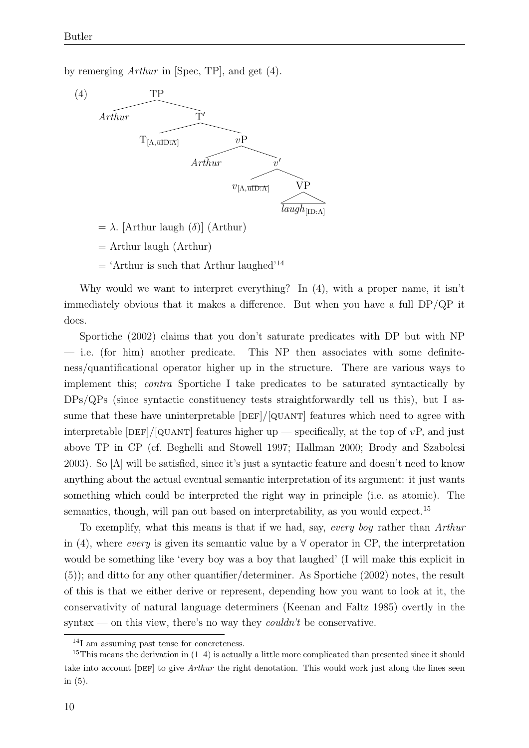by remerging Arthur in [Spec, TP], and get (4).



- $= \lambda$ . [Arthur laugh (δ)] (Arthur)
- $=$  Arthur laugh (Arthur)
- $=$  'Arthur is such that Arthur laughed'<sup>14</sup>

Why would we want to interpret everything? In (4), with a proper name, it isn't immediately obvious that it makes a difference. But when you have a full DP/QP it does.

Sportiche (2002) claims that you don't saturate predicates with DP but with NP — i.e. (for him) another predicate. This NP then associates with some definiteness/quantificational operator higher up in the structure. There are various ways to implement this; contra Sportiche I take predicates to be saturated syntactically by DPs/QPs (since syntactic constituency tests straightforwardly tell us this), but I assume that these have uninterpretable  $[DEF]/[QUANT]$  features which need to agree with interpretable  $[DEF]/[QUANT]$  features higher up — specifically, at the top of vP, and just above TP in CP (cf. Beghelli and Stowell 1997; Hallman 2000; Brody and Szabolcsi 2003). So  $[\Lambda]$  will be satisfied, since it's just a syntactic feature and doesn't need to know anything about the actual eventual semantic interpretation of its argument: it just wants something which could be interpreted the right way in principle (i.e. as atomic). The semantics, though, will pan out based on interpretability, as you would expect.<sup>15</sup>

To exemplify, what this means is that if we had, say, every boy rather than Arthur in (4), where *every* is given its semantic value by a  $\forall$  operator in CP, the interpretation would be something like 'every boy was a boy that laughed' (I will make this explicit in (5)); and ditto for any other quantifier/determiner. As Sportiche (2002) notes, the result of this is that we either derive or represent, depending how you want to look at it, the conservativity of natural language determiners (Keenan and Faltz 1985) overtly in the syntax — on this view, there's no way they *couldn't* be conservative.

<sup>14</sup>I am assuming past tense for concreteness.

<sup>&</sup>lt;sup>15</sup>This means the derivation in  $(1-4)$  is actually a little more complicated than presented since it should take into account [DEF] to give *Arthur* the right denotation. This would work just along the lines seen in (5).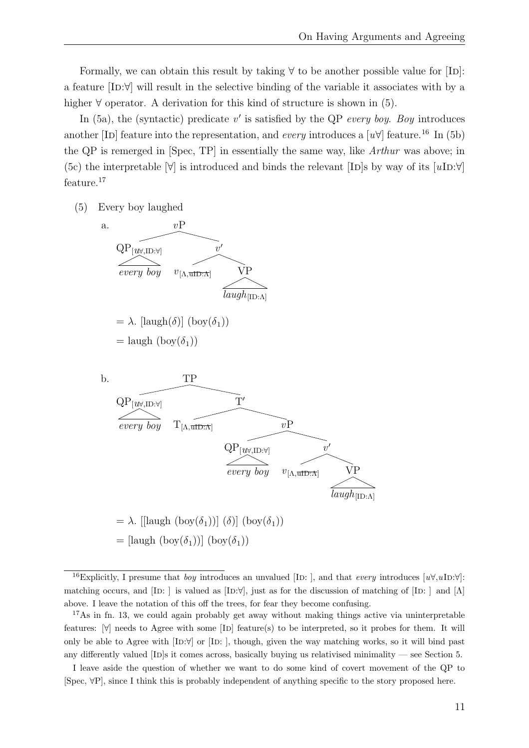Formally, we can obtain this result by taking  $\forall$  to be another possible value for [ID]: a feature [Id:∀] will result in the selective binding of the variable it associates with by a higher  $\forall$  operator. A derivation for this kind of structure is shown in (5).

In  $(5a)$ , the (syntactic) predicate v' is satisfied by the QP every boy. Boy introduces another [ID] feature into the representation, and every introduces a  $[u\forall]$  feature.<sup>16</sup> In (5b) the QP is remerged in [Spec, TP] in essentially the same way, like Arthur was above; in (5c) the interpretable  $|\forall|$  is introduced and binds the relevant [ID]s by way of its  $[uD:\forall|$ feature.<sup>17</sup>

(5) Every boy laughed



<sup>&</sup>lt;sup>16</sup>Explicitly, I presume that *boy* introduces an unvalued [ID: ], and that *every* introduces  $[u\forall,u\text{ID}:\forall]$ : matching occurs, and  $[ID: ]$  is valued as  $[ID:\forall]$ , just as for the discussion of matching of  $[ID: ]$  and  $[Λ]$ above. I leave the notation of this off the trees, for fear they become confusing.

<sup>&</sup>lt;sup>17</sup>As in fn. 13, we could again probably get away without making things active via uninterpretable features:  $\forall$  needs to Agree with some [ID] feature(s) to be interpreted, so it probes for them. It will only be able to Agree with  $[ID:\forall]$  or  $[ID:]$ , though, given the way matching works, so it will bind past any differently valued  $[ID]s$  it comes across, basically buying us relativised minimality — see Section 5.

I leave aside the question of whether we want to do some kind of covert movement of the QP to [Spec, ∀P], since I think this is probably independent of anything specific to the story proposed here.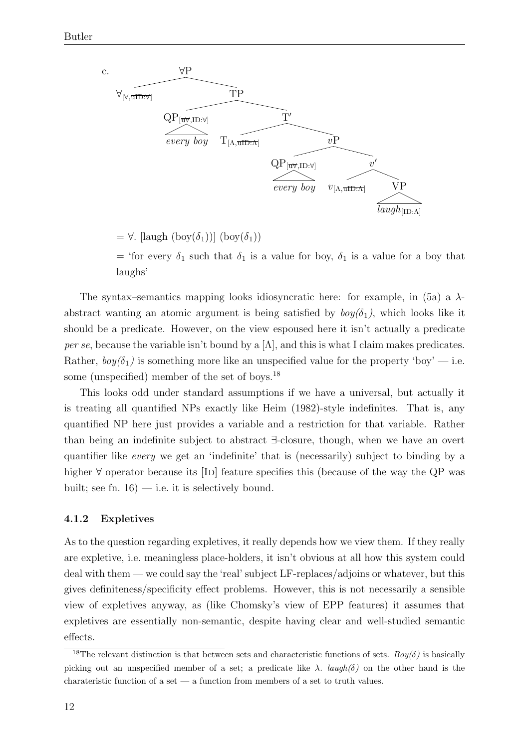

 $= \forall$ . [laugh (boy( $\delta_1$ )] (boy( $\delta_1$ ))

= 'for every  $\delta_1$  such that  $\delta_1$  is a value for boy,  $\delta_1$  is a value for a boy that laughs'

The syntax–semantics mapping looks idiosyncratic here: for example, in (5a) a  $\lambda$ abstract wanting an atomic argument is being satisfied by  $boy(\delta_1)$ , which looks like it should be a predicate. However, on the view espoused here it isn't actually a predicate per se, because the variable isn't bound by a  $[\Lambda]$ , and this is what I claim makes predicates. Rather,  $\frac{boy(\delta_1)}{s}$  is something more like an unspecified value for the property 'boy' — i.e. some (unspecified) member of the set of boys.<sup>18</sup>

This looks odd under standard assumptions if we have a universal, but actually it is treating all quantified NPs exactly like Heim (1982)-style indefinites. That is, any quantified NP here just provides a variable and a restriction for that variable. Rather than being an indefinite subject to abstract ∃-closure, though, when we have an overt quantifier like every we get an 'indefinite' that is (necessarily) subject to binding by a higher  $\forall$  operator because its [ID] feature specifies this (because of the way the QP was built; see fn.  $16$ ) — i.e. it is selectively bound.

#### 4.1.2 Expletives

As to the question regarding expletives, it really depends how we view them. If they really are expletive, i.e. meaningless place-holders, it isn't obvious at all how this system could deal with them — we could say the 'real' subject LF-replaces/adjoins or whatever, but this gives definiteness/specificity effect problems. However, this is not necessarily a sensible view of expletives anyway, as (like Chomsky's view of EPP features) it assumes that expletives are essentially non-semantic, despite having clear and well-studied semantic effects.

<sup>&</sup>lt;sup>18</sup>The relevant distinction is that between sets and characteristic functions of sets.  $Boy(\delta)$  is basically picking out an unspecified member of a set; a predicate like  $\lambda$ . *laugh(δ)* on the other hand is the charateristic function of a set — a function from members of a set to truth values.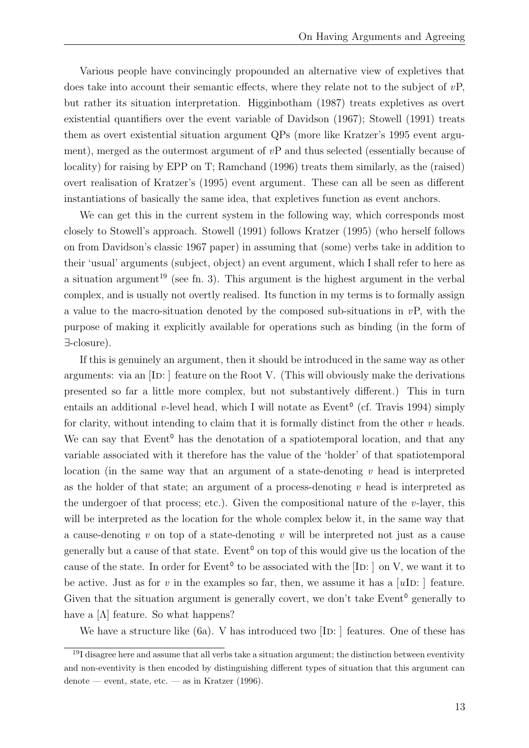Various people have convincingly propounded an alternative view of expletives that does take into account their semantic effects, where they relate not to the subject of  $vP$ , but rather its situation interpretation. Higginbotham (1987) treats expletives as overt existential quantifiers over the event variable of Davidson (1967); Stowell (1991) treats them as overt existential situation argument QPs (more like Kratzer's 1995 event argument), merged as the outermost argument of vP and thus selected (essentially because of locality) for raising by EPP on T; Ramchand (1996) treats them similarly, as the (raised) overt realisation of Kratzer's (1995) event argument. These can all be seen as different instantiations of basically the same idea, that expletives function as event anchors.

We can get this in the current system in the following way, which corresponds most closely to Stowell's approach. Stowell (1991) follows Kratzer (1995) (who herself follows on from Davidson's classic 1967 paper) in assuming that (some) verbs take in addition to their 'usual' arguments (subject, object) an event argument, which I shall refer to here as a situation argument <sup>19</sup> (see fn. 3). This argument is the highest argument in the verbal complex, and is usually not overtly realised. Its function in my terms is to formally assign a value to the macro-situation denoted by the composed sub-situations in  $vP$ , with the purpose of making it explicitly available for operations such as binding (in the form of ∃-closure).

If this is genuinely an argument, then it should be introduced in the same way as other arguments: via an  $[ID:]$  feature on the Root V. (This will obviously make the derivations presented so far a little more complex, but not substantively different.) This in turn entails an additional v-level head, which I will notate as  $Event<sup>0</sup>$  (cf. Travis 1994) simply for clarity, without intending to claim that it is formally distinct from the other  $v$  heads. We can say that Event<sup>o</sup> has the denotation of a spatiotemporal location, and that any variable associated with it therefore has the value of the 'holder' of that spatiotemporal location (in the same way that an argument of a state-denoting  $v$  head is interpreted as the holder of that state; an argument of a process-denoting  $v$  head is interpreted as the undergoer of that process; etc.). Given the compositional nature of the  $v$ -layer, this will be interpreted as the location for the whole complex below it, in the same way that a cause-denoting  $v$  on top of a state-denoting  $v$  will be interpreted not just as a cause generally but a cause of that state. Event<sup>o</sup> on top of this would give us the location of the cause of the state. In order for Event<sup> $\degree$ </sup> to be associated with the [ID: ] on V, we want it to be active. Just as for v in the examples so far, then, we assume it has a  $[u]$ D: ] feature. Given that the situation argument is generally covert, we don't take Event<sup>o</sup> generally to have a  $[\Lambda]$  feature. So what happens?

We have a structure like  $(6a)$ . V has introduced two  $[ID: ]$  features. One of these has

 $19I$  disagree here and assume that all verbs take a situation argument; the distinction between eventivity and non-eventivity is then encoded by distinguishing different types of situation that this argument can  $denote$  — event, state, etc. — as in Kratzer (1996).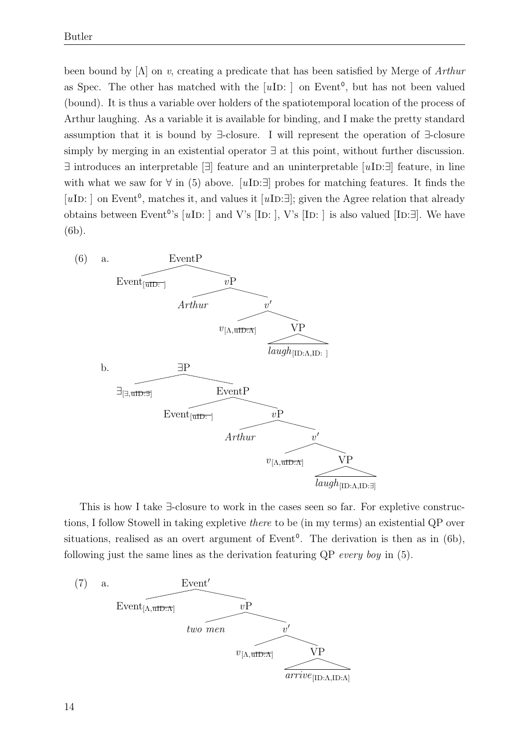been bound by  $[\Lambda]$  on v, creating a predicate that has been satisfied by Merge of Arthur as Spec. The other has matched with the  $[u**ID**:]$  on Event<sup>o</sup>, but has not been valued (bound). It is thus a variable over holders of the spatiotemporal location of the process of Arthur laughing. As a variable it is available for binding, and I make the pretty standard assumption that it is bound by ∃-closure. I will represent the operation of ∃-closure simply by merging in an existential operator ∃ at this point, without further discussion.  $\exists$  introduces an interpretable  $[\exists]$  feature and an uninterpretable  $[u**II**]:\exists]$  feature, in line with what we saw for  $\forall$  in (5) above. [uID: $\exists$ ] probes for matching features. It finds the [uID: ] on Event<sup>o</sup>, matches it, and values it [uID: $\exists$ ]; given the Agree relation that already obtains between Event<sup>o</sup>'s [ $u$ ID: ] and V's [ID: ], V's [ID: ] is also valued [ID: $\exists$ ]. We have (6b).



This is how I take ∃-closure to work in the cases seen so far. For expletive constructions, I follow Stowell in taking expletive there to be (in my terms) an existential QP over situations, realised as an overt argument of Event<sup>o</sup>. The derivation is then as in (6b), following just the same lines as the derivation featuring QP every boy in (5).

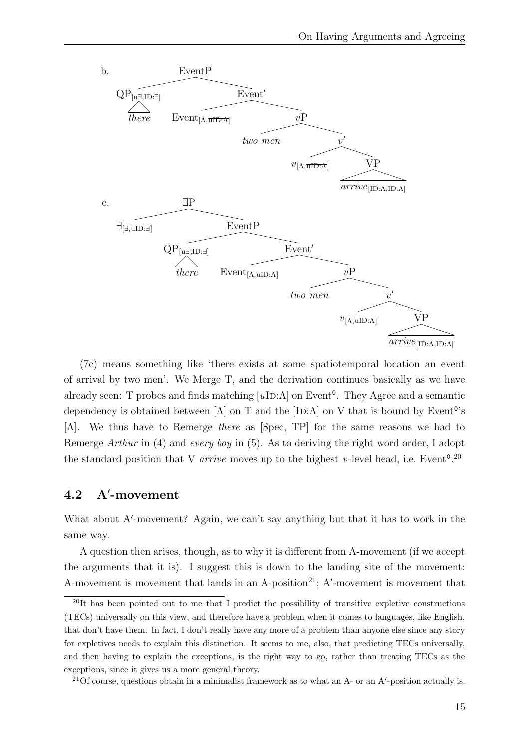

(7c) means something like 'there exists at some spatiotemporal location an event of arrival by two men'. We Merge T, and the derivation continues basically as we have already seen: T probes and finds matching  $[uD:\Lambda]$  on Event<sup>o</sup>. They Agree and a semantic dependency is obtained between [ $\Lambda$ ] on T and the [ID: $\Lambda$ ] on V that is bound by Event<sup>o</sup>'s [Λ]. We thus have to Remerge there as [Spec, TP] for the same reasons we had to Remerge Arthur in (4) and every boy in (5). As to deriving the right word order, I adopt the standard position that V *arrive* moves up to the highest v-level head, i.e. Event<sup>0.20</sup>

#### $4.2$ -movement

What about A'-movement? Again, we can't say anything but that it has to work in the same way.

A question then arises, though, as to why it is different from A-movement (if we accept the arguments that it is). I suggest this is down to the landing site of the movement: A-movement is movement that lands in an A-position<sup>21</sup>; A'-movement is movement that

 $^{20}$ It has been pointed out to me that I predict the possibility of transitive expletive constructions (TECs) universally on this view, and therefore have a problem when it comes to languages, like English, that don't have them. In fact, I don't really have any more of a problem than anyone else since any story for expletives needs to explain this distinction. It seems to me, also, that predicting TECs universally, and then having to explain the exceptions, is the right way to go, rather than treating TECs as the exceptions, since it gives us a more general theory.

<sup>&</sup>lt;sup>21</sup>Of course, questions obtain in a minimalist framework as to what an A- or an A'-position actually is.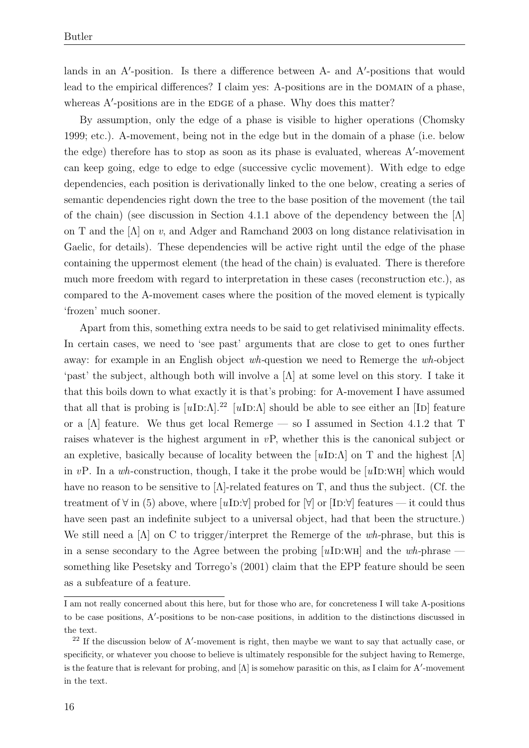lands in an A'-position. Is there a difference between A- and A'-positions that would lead to the empirical differences? I claim yes: A-positions are in the DOMAIN of a phase, whereas A'-positions are in the EDGE of a phase. Why does this matter?

By assumption, only the edge of a phase is visible to higher operations (Chomsky 1999; etc.). A-movement, being not in the edge but in the domain of a phase (i.e. below the edge) therefore has to stop as soon as its phase is evaluated, whereas A'-movement can keep going, edge to edge to edge (successive cyclic movement). With edge to edge dependencies, each position is derivationally linked to the one below, creating a series of semantic dependencies right down the tree to the base position of the movement (the tail of the chain) (see discussion in Section 4.1.1 above of the dependency between the  $[\Lambda]$ on T and the [Λ] on v, and Adger and Ramchand 2003 on long distance relativisation in Gaelic, for details). These dependencies will be active right until the edge of the phase containing the uppermost element (the head of the chain) is evaluated. There is therefore much more freedom with regard to interpretation in these cases (reconstruction etc.), as compared to the A-movement cases where the position of the moved element is typically 'frozen' much sooner.

Apart from this, something extra needs to be said to get relativised minimality effects. In certain cases, we need to 'see past' arguments that are close to get to ones further away: for example in an English object wh-question we need to Remerge the wh-object 'past' the subject, although both will involve a [Λ] at some level on this story. I take it that this boils down to what exactly it is that's probing: for A-movement I have assumed that all that is probing is  $[uI D:\Lambda]$ .<sup>22</sup> [uID: $\Lambda$ ] should be able to see either an [ID] feature or a [Λ] feature. We thus get local Remerge — so I assumed in Section 4.1.2 that T raises whatever is the highest argument in  $vP$ , whether this is the canonical subject or an expletive, basically because of locality between the  $[uD:\Lambda]$  on T and the highest  $[\Lambda]$ in vP. In a wh-construction, though, I take it the probe would be  $[u**ID:WH**]$  which would have no reason to be sensitive to  $[\Lambda]$ -related features on T, and thus the subject. (Cf. the treatment of  $\forall$  in (5) above, where [uID: $\forall$ ] probed for  $\forall$ ] or [ID: $\forall$ ] features — it could thus have seen past an indefinite subject to a universal object, had that been the structure.) We still need a  $[\Lambda]$  on C to trigger/interpret the Remerge of the wh-phrase, but this is in a sense secondary to the Agree between the probing  $[u**IDENTIFY**]]$  and the wh-phrase something like Pesetsky and Torrego's (2001) claim that the EPP feature should be seen as a subfeature of a feature.

I am not really concerned about this here, but for those who are, for concreteness I will take A-positions to be case positions, A'-positions to be non-case positions, in addition to the distinctions discussed in the text.

 $22$  If the discussion below of A'-movement is right, then maybe we want to say that actually case, or specificity, or whatever you choose to believe is ultimately responsible for the subject having to Remerge, is the feature that is relevant for probing, and  $[\Lambda]$  is somehow parasitic on this, as I claim for A'-movement in the text.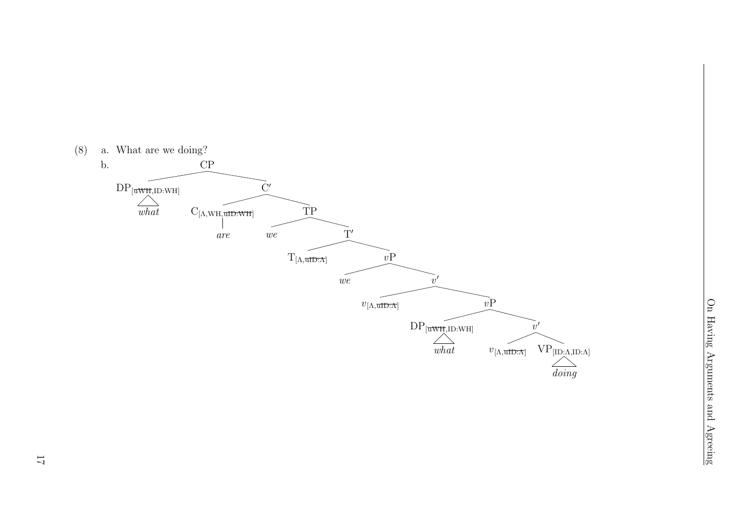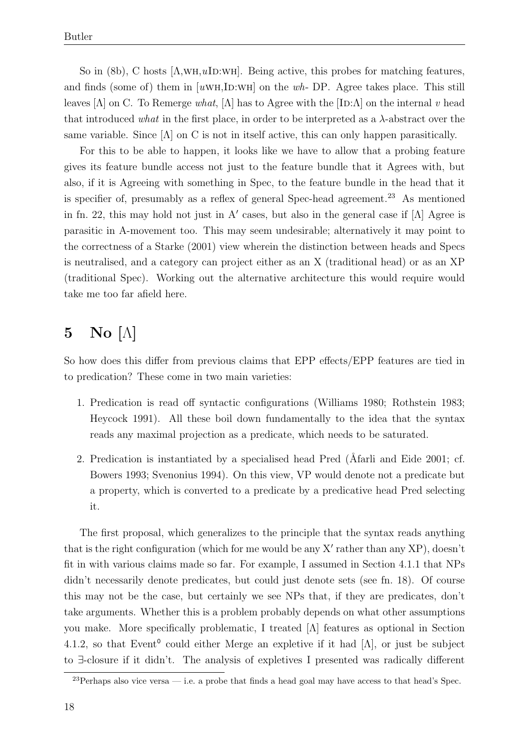So in (8b), C hosts  $[\Lambda, \text{WH}, u \text{ID:WH}]$ . Being active, this probes for matching features, and finds (some of) them in  $[uWH,1D:WH]$  on the wh-DP. Agree takes place. This still leaves  $[\Lambda]$  on C. To Remerge what,  $[\Lambda]$  has to Agree with the  $[\text{ID}:\Lambda]$  on the internal v head that introduced what in the first place, in order to be interpreted as a  $\lambda$ -abstract over the same variable. Since  $[\Lambda]$  on C is not in itself active, this can only happen parasitically.

For this to be able to happen, it looks like we have to allow that a probing feature gives its feature bundle access not just to the feature bundle that it Agrees with, but also, if it is Agreeing with something in Spec, to the feature bundle in the head that it is specifier of, presumably as a reflex of general Spec-head agreement.<sup>23</sup> As mentioned in fn. 22, this may hold not just in A' cases, but also in the general case if  $[\Lambda]$  Agree is parasitic in A-movement too. This may seem undesirable; alternatively it may point to the correctness of a Starke (2001) view wherein the distinction between heads and Specs is neutralised, and a category can project either as an X (traditional head) or as an XP (traditional Spec). Working out the alternative architecture this would require would take me too far afield here.

## $5$  No  $[\Lambda]$

So how does this differ from previous claims that EPP effects/EPP features are tied in to predication? These come in two main varieties:

- 1. Predication is read off syntactic configurations (Williams 1980; Rothstein 1983; Heycock 1991). All these boil down fundamentally to the idea that the syntax reads any maximal projection as a predicate, which needs to be saturated.
- 2. Predication is instantiated by a specialised head Pred (Afarli and Eide 2001; cf. Bowers 1993; Svenonius 1994). On this view, VP would denote not a predicate but a property, which is converted to a predicate by a predicative head Pred selecting it.

The first proposal, which generalizes to the principle that the syntax reads anything that is the right configuration (which for me would be any  $X'$  rather than any  $XP$ ), doesn't fit in with various claims made so far. For example, I assumed in Section 4.1.1 that NPs didn't necessarily denote predicates, but could just denote sets (see fn. 18). Of course this may not be the case, but certainly we see NPs that, if they are predicates, don't take arguments. Whether this is a problem probably depends on what other assumptions you make. More specifically problematic, I treated [Λ] features as optional in Section 4.1.2, so that Event<sup>o</sup> could either Merge an expletive if it had  $[\Lambda]$ , or just be subject to ∃-closure if it didn't. The analysis of expletives I presented was radically different

 $^{23}$ Perhaps also vice versa — i.e. a probe that finds a head goal may have access to that head's Spec.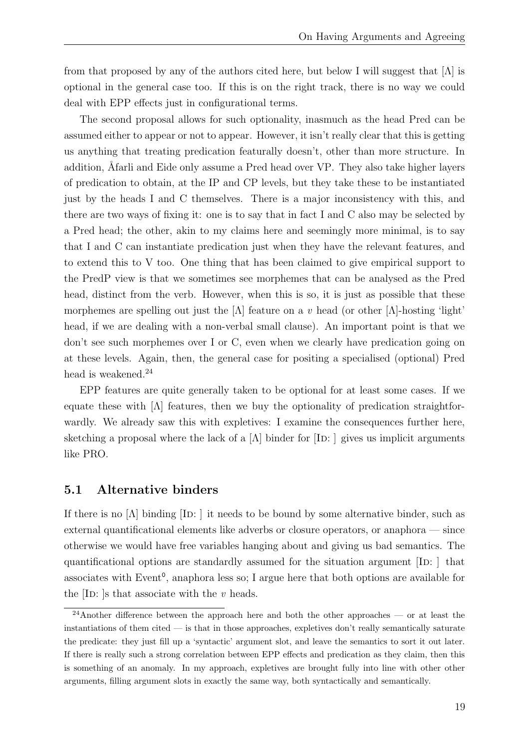from that proposed by any of the authors cited here, but below I will suggest that  $[\Lambda]$  is optional in the general case too. If this is on the right track, there is no way we could deal with EPP effects just in configurational terms.

The second proposal allows for such optionality, inasmuch as the head Pred can be assumed either to appear or not to appear. However, it isn't really clear that this is getting us anything that treating predication featurally doesn't, other than more structure. In addition, Afarli and Eide only assume a Pred head over VP. They also take higher layers of predication to obtain, at the IP and CP levels, but they take these to be instantiated just by the heads I and C themselves. There is a major inconsistency with this, and there are two ways of fixing it: one is to say that in fact I and C also may be selected by a Pred head; the other, akin to my claims here and seemingly more minimal, is to say that I and C can instantiate predication just when they have the relevant features, and to extend this to V too. One thing that has been claimed to give empirical support to the PredP view is that we sometimes see morphemes that can be analysed as the Pred head, distinct from the verb. However, when this is so, it is just as possible that these morphemes are spelling out just the  $[\Lambda]$  feature on a v head (or other  $[\Lambda]$ -hosting 'light' head, if we are dealing with a non-verbal small clause). An important point is that we don't see such morphemes over I or C, even when we clearly have predication going on at these levels. Again, then, the general case for positing a specialised (optional) Pred head is weakened.<sup>24</sup>

EPP features are quite generally taken to be optional for at least some cases. If we equate these with  $[\Lambda]$  features, then we buy the optionality of predication straightforwardly. We already saw this with expletives: I examine the consequences further here, sketching a proposal where the lack of a  $[\Lambda]$  binder for  $[\text{ID}:]$  gives us implicit arguments like PRO.

#### 5.1 Alternative binders

If there is no  $[\Lambda]$  binding  $[\text{ID}:]$  it needs to be bound by some alternative binder, such as external quantificational elements like adverbs or closure operators, or anaphora — since otherwise we would have free variables hanging about and giving us bad semantics. The quantificational options are standardly assumed for the situation argument  $[ID: ]$  that associates with Event 0 , anaphora less so; I argue here that both options are available for the  $\text{ID: }$  is that associate with the v heads.

 $24$ Another difference between the approach here and both the other approaches — or at least the instantiations of them cited — is that in those approaches, expletives don't really semantically saturate the predicate: they just fill up a 'syntactic' argument slot, and leave the semantics to sort it out later. If there is really such a strong correlation between EPP effects and predication as they claim, then this is something of an anomaly. In my approach, expletives are brought fully into line with other other arguments, filling argument slots in exactly the same way, both syntactically and semantically.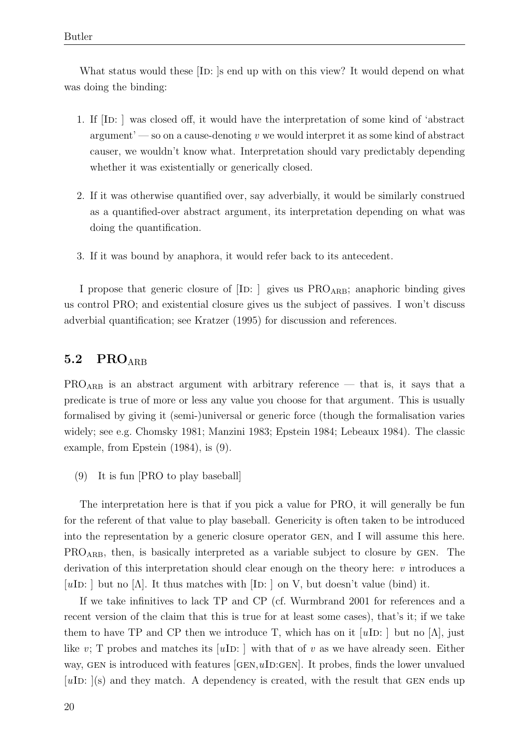What status would these [ID: ]s end up with on this view? It would depend on what was doing the binding:

- 1. If [ID: ] was closed off, it would have the interpretation of some kind of 'abstract  $argument'$  — so on a cause-denoting v we would interpret it as some kind of abstract causer, we wouldn't know what. Interpretation should vary predictably depending whether it was existentially or generically closed.
- 2. If it was otherwise quantified over, say adverbially, it would be similarly construed as a quantified-over abstract argument, its interpretation depending on what was doing the quantification.
- 3. If it was bound by anaphora, it would refer back to its antecedent.

I propose that generic closure of  $[ID: ]$  gives us  $PRO_{ARB}$ ; anaphoric binding gives us control PRO; and existential closure gives us the subject of passives. I won't discuss adverbial quantification; see Kratzer (1995) for discussion and references.

### 5.2 PROARB

PRO<sub>ARB</sub> is an abstract argument with arbitrary reference — that is, it says that a predicate is true of more or less any value you choose for that argument. This is usually formalised by giving it (semi-)universal or generic force (though the formalisation varies widely; see e.g. Chomsky 1981; Manzini 1983; Epstein 1984; Lebeaux 1984). The classic example, from Epstein (1984), is (9).

(9) It is fun [PRO to play baseball]

The interpretation here is that if you pick a value for PRO, it will generally be fun for the referent of that value to play baseball. Genericity is often taken to be introduced into the representation by a generic closure operator gen, and I will assume this here. PROARB, then, is basically interpreted as a variable subject to closure by gen. The derivation of this interpretation should clear enough on the theory here:  $v$  introduces a [uID: ] but no [ $\Lambda$ ]. It thus matches with [ID: ] on V, but doesn't value (bind) it.

If we take infinitives to lack TP and CP (cf. Wurmbrand 2001 for references and a recent version of the claim that this is true for at least some cases), that's it; if we take them to have TP and CP then we introduce T, which has on it [uID: ] but no [ $\Lambda$ ], just like v; T probes and matches its [uID: ] with that of v as we have already seen. Either way, GEN is introduced with features  $[GEN, uID:GEN]$ . It probes, finds the lower unvalued  $[uI<sub>D</sub>: ](s)$  and they match. A dependency is created, with the result that GEN ends up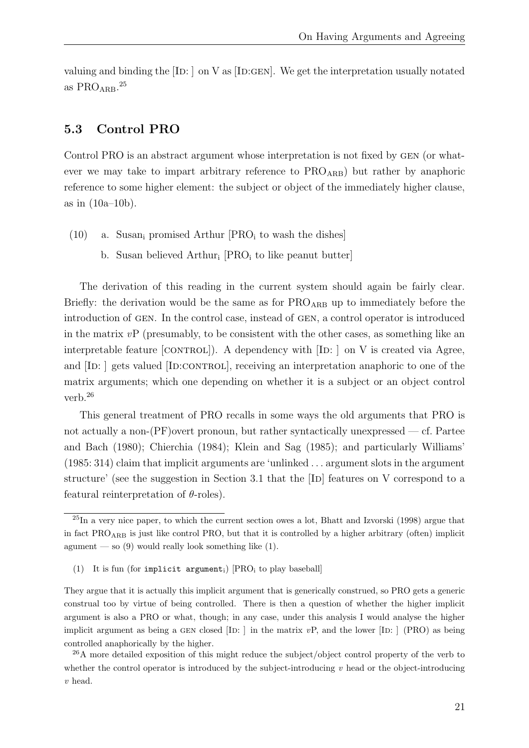valuing and binding the  $[ID: ]$  on V as  $[ID:GEN]$ . We get the interpretation usually notated as  $PRO<sub>ARB</sub>$ .<sup>25</sup>

#### 5.3 Control PRO

Control PRO is an abstract argument whose interpretation is not fixed by gen (or whatever we may take to impart arbitrary reference to  $PRO_{ARB}$ ) but rather by anaphoric reference to some higher element: the subject or object of the immediately higher clause, as in (10a–10b).

- (10) a. Susan<sub>i</sub> promised Arthur  $[PRO_i]$  to wash the dishes
	- b. Susan believed Arthur<sub>i</sub> [PRO<sub>i</sub> to like peanut butter]

The derivation of this reading in the current system should again be fairly clear. Briefly: the derivation would be the same as for  $PRO_{ARB}$  up to immediately before the introduction of gen. In the control case, instead of gen, a control operator is introduced in the matrix  $vP$  (presumably, to be consistent with the other cases, as something like an interpretable feature  $[CONTROL]$ ). A dependency with  $[ID: ]$  on V is created via Agree, and [ID: ] gets valued [ID:CONTROL], receiving an interpretation anaphoric to one of the matrix arguments; which one depending on whether it is a subject or an object control verb.<sup>26</sup>

This general treatment of PRO recalls in some ways the old arguments that PRO is not actually a non-(PF)overt pronoun, but rather syntactically unexpressed — cf. Partee and Bach (1980); Chierchia (1984); Klein and Sag (1985); and particularly Williams' (1985: 314) claim that implicit arguments are 'unlinked . . . argument slots in the argument structure' (see the suggestion in Section 3.1 that the  $[ID]$  features on V correspond to a featural reinterpretation of  $\theta$ -roles).

(1) It is fun (for implicit argument<sub>i</sub>)  $[PRO<sub>i</sub>$  to play baseball]

 $^{25}$ In a very nice paper, to which the current section owes a lot, Bhatt and Izvorski (1998) argue that in fact  $PRO<sub>ARB</sub>$  is just like control PRO, but that it is controlled by a higher arbitrary (often) implicit agument — so  $(9)$  would really look something like  $(1)$ .

They argue that it is actually this implicit argument that is generically construed, so PRO gets a generic construal too by virtue of being controlled. There is then a question of whether the higher implicit argument is also a PRO or what, though; in any case, under this analysis I would analyse the higher implicit argument as being a GEN closed  $[ID: ]$  in the matrix vP, and the lower  $[ID: ]$  (PRO) as being controlled anaphorically by the higher.

 $^{26}$ A more detailed exposition of this might reduce the subject/object control property of the verb to whether the control operator is introduced by the subject-introducing  $v$  head or the object-introducing v head.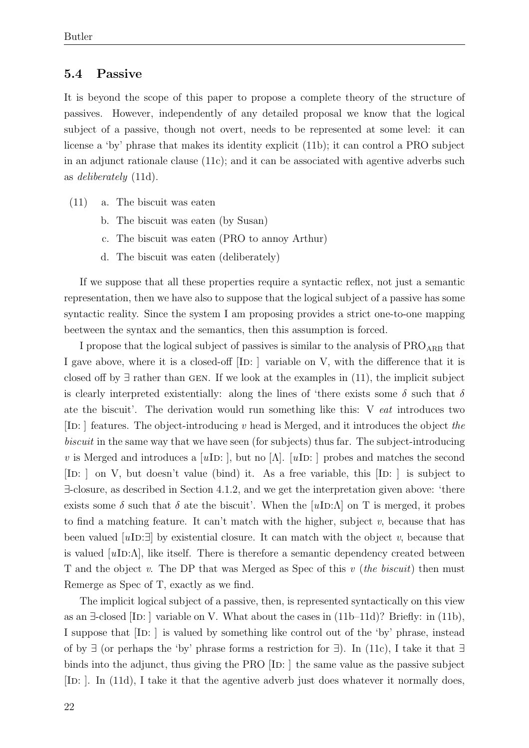#### 5.4 Passive

It is beyond the scope of this paper to propose a complete theory of the structure of passives. However, independently of any detailed proposal we know that the logical subject of a passive, though not overt, needs to be represented at some level: it can license a 'by' phrase that makes its identity explicit (11b); it can control a PRO subject in an adjunct rationale clause (11c); and it can be associated with agentive adverbs such as deliberately (11d).

- (11) a. The biscuit was eaten
	- b. The biscuit was eaten (by Susan)
	- c. The biscuit was eaten (PRO to annoy Arthur)
	- d. The biscuit was eaten (deliberately)

If we suppose that all these properties require a syntactic reflex, not just a semantic representation, then we have also to suppose that the logical subject of a passive has some syntactic reality. Since the system I am proposing provides a strict one-to-one mapping beetween the syntax and the semantics, then this assumption is forced.

I propose that the logical subject of passives is similar to the analysis of  $PRO<sub>ARB</sub>$  that I gave above, where it is a closed-off  $[ID: ]$  variable on V, with the difference that it is closed off by  $\exists$  rather than GEN. If we look at the examples in (11), the implicit subject is clearly interpreted existentially: along the lines of 'there exists some  $\delta$  such that  $\delta$ ate the biscuit'. The derivation would run something like this: V eat introduces two [ID: ] features. The object-introducing  $v$  head is Merged, and it introduces the object the biscuit in the same way that we have seen (for subjects) thus far. The subject-introducing v is Merged and introduces a [uID: ], but no [Λ]. [uID: ] probes and matches the second  $[ID: ]$  on V, but doesn't value (bind) it. As a free variable, this  $[ID: ]$  is subject to ∃-closure, as described in Section 4.1.2, and we get the interpretation given above: 'there exists some  $\delta$  such that  $\delta$  ate the biscuit'. When the [uID: $\Lambda$ ] on T is merged, it probes to find a matching feature. It can't match with the higher, subject  $v$ , because that has been valued [uID: $\exists$ ] by existential closure. It can match with the object v, because that is valued  $[u**ID**: $\Lambda$ ], like itself. There is therefore a semantic dependency created between$ T and the object v. The DP that was Merged as Spec of this v (the biscuit) then must Remerge as Spec of T, exactly as we find.

The implicit logical subject of a passive, then, is represented syntactically on this view as an  $\exists$ -closed [ID: ] variable on V. What about the cases in  $(11b-11d)$ ? Briefly: in  $(11b)$ , I suppose that [ID: ] is valued by something like control out of the 'by' phrase, instead of by  $\exists$  (or perhaps the 'by' phrase forms a restriction for  $\exists$ ). In (11c), I take it that  $\exists$ binds into the adjunct, thus giving the PRO  $[$ ID:  $]$  the same value as the passive subject [ID: ]. In (11d), I take it that the agentive adverb just does whatever it normally does,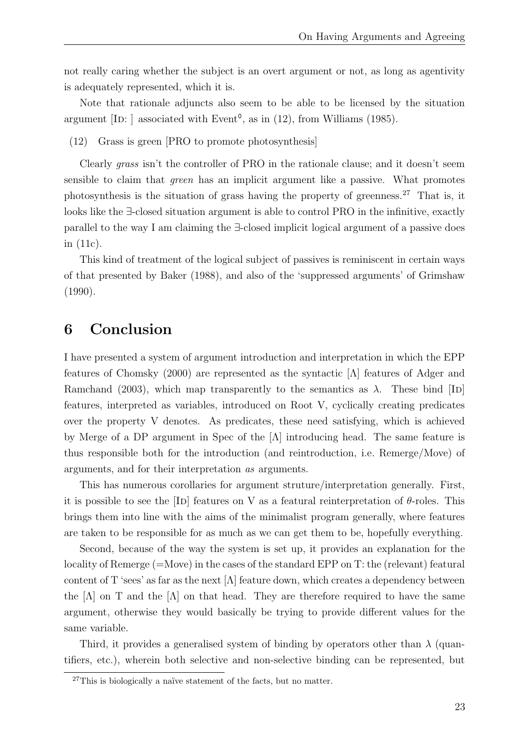not really caring whether the subject is an overt argument or not, as long as agentivity is adequately represented, which it is.

Note that rationale adjuncts also seem to be able to be licensed by the situation argument [ID: ] associated with Event<sup>o</sup>, as in  $(12)$ , from Williams  $(1985)$ .

(12) Grass is green [PRO to promote photosynthesis]

Clearly grass isn't the controller of PRO in the rationale clause; and it doesn't seem sensible to claim that green has an implicit argument like a passive. What promotes photosynthesis is the situation of grass having the property of greenness.<sup>27</sup> That is, it looks like the ∃-closed situation argument is able to control PRO in the infinitive, exactly parallel to the way I am claiming the ∃-closed implicit logical argument of a passive does in (11c).

This kind of treatment of the logical subject of passives is reminiscent in certain ways of that presented by Baker (1988), and also of the 'suppressed arguments' of Grimshaw (1990).

## 6 Conclusion

I have presented a system of argument introduction and interpretation in which the EPP features of Chomsky (2000) are represented as the syntactic [Λ] features of Adger and Ramchand (2003), which map transparently to the semantics as  $\lambda$ . These bind [ID] features, interpreted as variables, introduced on Root V, cyclically creating predicates over the property V denotes. As predicates, these need satisfying, which is achieved by Merge of a DP argument in Spec of the [Λ] introducing head. The same feature is thus responsible both for the introduction (and reintroduction, i.e. Remerge/Move) of arguments, and for their interpretation as arguments.

This has numerous corollaries for argument struture/interpretation generally. First, it is possible to see the [ID] features on V as a featural reinterpretation of  $\theta$ -roles. This brings them into line with the aims of the minimalist program generally, where features are taken to be responsible for as much as we can get them to be, hopefully everything.

Second, because of the way the system is set up, it provides an explanation for the locality of Remerge (=Move) in the cases of the standard EPP on T: the (relevant) featural content of T 'sees' as far as the next  $[\Lambda]$  feature down, which creates a dependency between the  $[\Lambda]$  on T and the  $[\Lambda]$  on that head. They are therefore required to have the same argument, otherwise they would basically be trying to provide different values for the same variable.

Third, it provides a generalised system of binding by operators other than  $\lambda$  (quantifiers, etc.), wherein both selective and non-selective binding can be represented, but

 $27$ This is biologically a naïve statement of the facts, but no matter.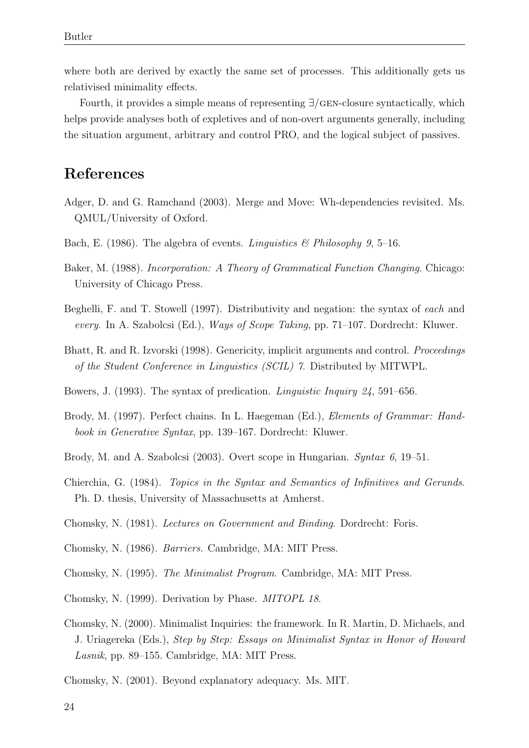where both are derived by exactly the same set of processes. This additionally gets us relativised minimality effects.

Fourth, it provides a simple means of representing ∃/gen-closure syntactically, which helps provide analyses both of expletives and of non-overt arguments generally, including the situation argument, arbitrary and control PRO, and the logical subject of passives.

## References

- Adger, D. and G. Ramchand (2003). Merge and Move: Wh-dependencies revisited. Ms. QMUL/University of Oxford.
- Bach, E. (1986). The algebra of events. Linguistics & Philosophy 9, 5–16.
- Baker, M. (1988). Incorporation: A Theory of Grammatical Function Changing. Chicago: University of Chicago Press.
- Beghelli, F. and T. Stowell (1997). Distributivity and negation: the syntax of each and every. In A. Szabolcsi (Ed.), Ways of Scope Taking, pp. 71–107. Dordrecht: Kluwer.
- Bhatt, R. and R. Izvorski (1998). Genericity, implicit arguments and control. *Proceedings* of the Student Conference in Linguistics (SCIL) 7. Distributed by MITWPL.
- Bowers, J. (1993). The syntax of predication. Linguistic Inquiry 24, 591–656.
- Brody, M. (1997). Perfect chains. In L. Haegeman (Ed.), Elements of Grammar: Handbook in Generative Syntax, pp. 139–167. Dordrecht: Kluwer.
- Brody, M. and A. Szabolcsi (2003). Overt scope in Hungarian. Syntax 6, 19–51.
- Chierchia, G. (1984). Topics in the Syntax and Semantics of Infinitives and Gerunds. Ph. D. thesis, University of Massachusetts at Amherst.
- Chomsky, N. (1981). Lectures on Government and Binding. Dordrecht: Foris.
- Chomsky, N. (1986). Barriers. Cambridge, MA: MIT Press.
- Chomsky, N. (1995). The Minimalist Program. Cambridge, MA: MIT Press.
- Chomsky, N. (1999). Derivation by Phase. MITOPL 18.
- Chomsky, N. (2000). Minimalist Inquiries: the framework. In R. Martin, D. Michaels, and J. Uriagereka (Eds.), Step by Step: Essays on Minimalist Syntax in Honor of Howard Lasnik, pp. 89–155. Cambridge, MA: MIT Press.
- Chomsky, N. (2001). Beyond explanatory adequacy. Ms. MIT.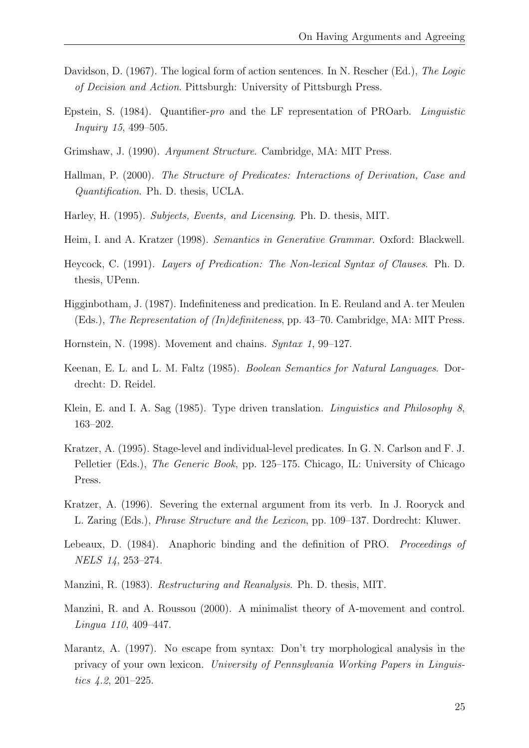- Davidson, D. (1967). The logical form of action sentences. In N. Rescher (Ed.), The Logic of Decision and Action. Pittsburgh: University of Pittsburgh Press.
- Epstein, S. (1984). Quantifier-pro and the LF representation of PROarb. Linguistic Inquiry 15, 499–505.
- Grimshaw, J. (1990). Argument Structure. Cambridge, MA: MIT Press.
- Hallman, P. (2000). The Structure of Predicates: Interactions of Derivation, Case and Quantification. Ph. D. thesis, UCLA.
- Harley, H. (1995). Subjects, Events, and Licensing. Ph. D. thesis, MIT.
- Heim, I. and A. Kratzer (1998). Semantics in Generative Grammar. Oxford: Blackwell.
- Heycock, C. (1991). Layers of Predication: The Non-lexical Syntax of Clauses. Ph. D. thesis, UPenn.
- Higginbotham, J. (1987). Indefiniteness and predication. In E. Reuland and A. ter Meulen (Eds.), The Representation of (In)definiteness, pp. 43–70. Cambridge, MA: MIT Press.
- Hornstein, N. (1998). Movement and chains. Syntax 1, 99–127.
- Keenan, E. L. and L. M. Faltz (1985). Boolean Semantics for Natural Languages. Dordrecht: D. Reidel.
- Klein, E. and I. A. Sag (1985). Type driven translation. Linguistics and Philosophy 8, 163–202.
- Kratzer, A. (1995). Stage-level and individual-level predicates. In G. N. Carlson and F. J. Pelletier (Eds.), The Generic Book, pp. 125–175. Chicago, IL: University of Chicago Press.
- Kratzer, A. (1996). Severing the external argument from its verb. In J. Rooryck and L. Zaring (Eds.), Phrase Structure and the Lexicon, pp. 109–137. Dordrecht: Kluwer.
- Lebeaux, D. (1984). Anaphoric binding and the definition of PRO. Proceedings of NELS 14, 253–274.
- Manzini, R. (1983). Restructuring and Reanalysis. Ph. D. thesis, MIT.
- Manzini, R. and A. Roussou (2000). A minimalist theory of A-movement and control. Lingua 110, 409–447.
- Marantz, A. (1997). No escape from syntax: Don't try morphological analysis in the privacy of your own lexicon. University of Pennsylvania Working Papers in Linguistics 4.2, 201–225.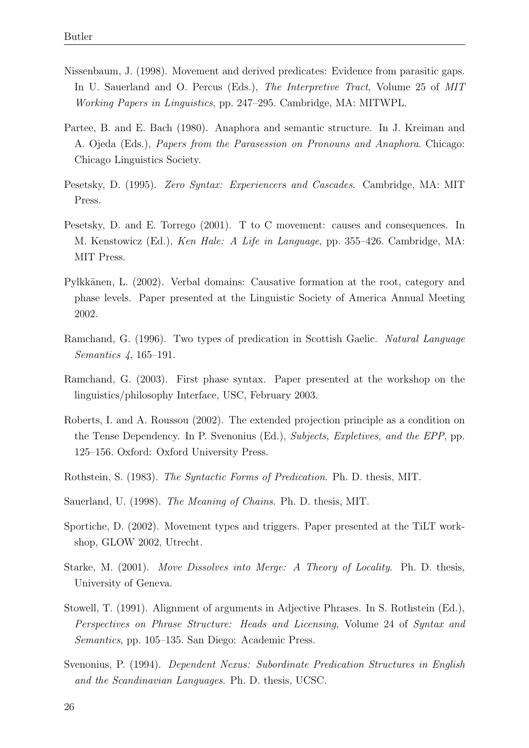- Nissenbaum, J. (1998). Movement and derived predicates: Evidence from parasitic gaps. In U. Sauerland and O. Percus (Eds.), The Interpretive Tract, Volume 25 of MIT Working Papers in Linguistics, pp. 247–295. Cambridge, MA: MITWPL.
- Partee, B. and E. Bach (1980). Anaphora and semantic structure. In J. Kreiman and A. Ojeda (Eds.), Papers from the Parasession on Pronouns and Anaphora. Chicago: Chicago Linguistics Society.
- Pesetsky, D. (1995). Zero Syntax: Experiencers and Cascades. Cambridge, MA: MIT Press.
- Pesetsky, D. and E. Torrego (2001). T to C movement: causes and consequences. In M. Kenstowicz (Ed.), Ken Hale: A Life in Language, pp. 355–426. Cambridge, MA: MIT Press.
- Pylkkänen, L. (2002). Verbal domains: Causative formation at the root, category and phase levels. Paper presented at the Linguistic Society of America Annual Meeting 2002.
- Ramchand, G. (1996). Two types of predication in Scottish Gaelic. Natural Language Semantics 4, 165–191.
- Ramchand, G. (2003). First phase syntax. Paper presented at the workshop on the linguistics/philosophy Interface, USC, February 2003.
- Roberts, I. and A. Roussou (2002). The extended projection principle as a condition on the Tense Dependency. In P. Svenonius (Ed.), Subjects, Expletives, and the EPP, pp. 125–156. Oxford: Oxford University Press.
- Rothstein, S. (1983). The Syntactic Forms of Predication. Ph. D. thesis, MIT.
- Sauerland, U. (1998). The Meaning of Chains. Ph. D. thesis, MIT.
- Sportiche, D. (2002). Movement types and triggers. Paper presented at the TiLT workshop, GLOW 2002, Utrecht.
- Starke, M. (2001). Move Dissolves into Merge: A Theory of Locality. Ph. D. thesis, University of Geneva.
- Stowell, T. (1991). Alignment of arguments in Adjective Phrases. In S. Rothstein (Ed.), Perspectives on Phrase Structure: Heads and Licensing, Volume 24 of Syntax and Semantics, pp. 105–135. San Diego: Academic Press.
- Svenonius, P. (1994). Dependent Nexus: Subordinate Predication Structures in English and the Scandinavian Languages. Ph. D. thesis, UCSC.